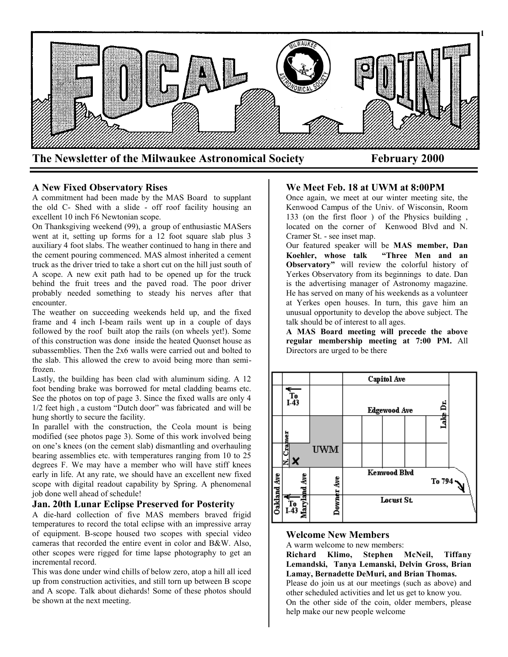

## **A New Fixed Observatory Rises**

A commitment had been made by the MAS Board to supplant the old C- Shed with a slide - off roof facility housing an excellent 10 inch F6 Newtonian scope.

On Thanksgiving weekend (99), a group of enthusiastic MASers went at it, setting up forms for a 12 foot square slab plus 3 auxiliary 4 foot slabs. The weather continued to hang in there and the cement pouring commenced. MAS almost inherited a cement truck as the driver tried to take a short cut on the hill just south of A scope. A new exit path had to be opened up for the truck behind the fruit trees and the paved road. The poor driver probably needed something to steady his nerves after that encounter.

The weather on succeeding weekends held up, and the fixed frame and 4 inch I-beam rails went up in a couple of days followed by the roof built atop the rails (on wheels yet!). Some of this construction was done inside the heated Quonset house as subassemblies. Then the 2x6 walls were carried out and bolted to the slab. This allowed the crew to avoid being more than semifrozen.

Lastly, the building has been clad with aluminum siding. A 12 foot bending brake was borrowed for metal cladding beams etc. See the photos on top of page 3. Since the fixed walls are only 4 1/2 feet high , a custom "Dutch door" was fabricated and will be hung shortly to secure the facility.

In parallel with the construction, the Ceola mount is being modified (see photos page 3). Some of this work involved being on one's knees (on the cement slab) dismantling and overhauling bearing assemblies etc. with temperatures ranging from 10 to 25 degrees F. We may have a member who will have stiff knees early in life. At any rate, we should have an excellent new fixed scope with digital readout capability by Spring. A phenomenal job done well ahead of schedule!

#### **Jan. 20th Lunar Eclipse Preserved for Posterity**

A die-hard collection of five MAS members braved frigid temperatures to record the total eclipse with an impressive array of equipment. B-scope housed two scopes with special video cameras that recorded the entire event in color and B&W. Also, other scopes were rigged for time lapse photography to get an incremental record.

This was done under wind chills of below zero, atop a hill all iced up from construction activities, and still torn up between B scope and A scope. Talk about diehards! Some of these photos should be shown at the next meeting.

### **We Meet Feb. 18 at UWM at 8:00PM**

Once again, we meet at our winter meeting site, the Kenwood Campus of the Univ. of Wisconsin, Room 133 (on the first floor ) of the Physics building , located on the corner of Kenwood Blvd and N. Cramer St. - see inset map.

Our featured speaker will be **MAS member, Dan Koehler, whose talk "Three Men and an Observatory"** will review the colorful history of Yerkes Observatory from its beginnings to date. Dan is the advertising manager of Astronomy magazine. He has served on many of his weekends as a volunteer at Yerkes open houses. In turn, this gave him an unusual opportunity to develop the above subject. The talk should be of interest to all ages.

**A MAS Board meeting will precede the above regular membership meeting at 7:00 PM.** All Directors are urged to be there



#### **Welcome New Members**

A warm welcome to new members:

**Richard Klimo, Stephen McNeil, Tiffany Lemandski, Tanya Lemanski, Delvin Gross, Brian Lamay, Bernadette DeMuri, and Brian Thomas.** Please do join us at our meetings (such as above) and other scheduled activities and let us get to know you. On the other side of the coin, older members, please help make our new people welcome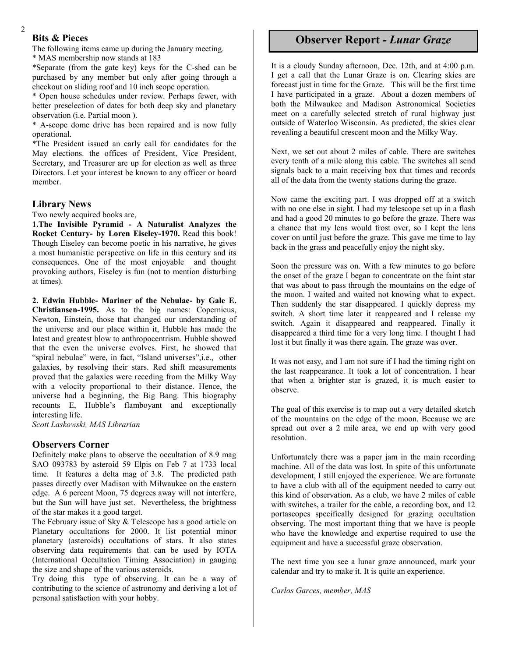# **Bits & Pieces**

2

The following items came up during the January meeting.

\* MAS membership now stands at 183

\*Separate (from the gate key) keys for the C-shed can be purchased by any member but only after going through a checkout on sliding roof and 10 inch scope operation.

\* Open house schedules under review. Perhaps fewer, with better preselection of dates for both deep sky and planetary observation (i.e. Partial moon ).

\* A-scope dome drive has been repaired and is now fully operational.

\*The President issued an early call for candidates for the May elections. the offices of President, Vice President, Secretary, and Treasurer are up for election as well as three Directors. Let your interest be known to any officer or board member.

## **Library News**

Two newly acquired books are,

**1.The Invisible Pyramid - A Naturalist Analyzes the Rocket Century- by Loren Eiseley-1970.** Read this book! Though Eiseley can become poetic in his narrative, he gives a most humanistic perspective on life in this century and its consequences. One of the most enjoyable and thought provoking authors, Eiseley is fun (not to mention disturbing at times).

**2. Edwin Hubble- Mariner of the Nebulae- by Gale E. Christiansen-1995.** As to the big names: Copernicus, Newton, Einstein, those that changed our understanding of the universe and our place within it, Hubble has made the latest and greatest blow to anthropocentrism. Hubble showed that the even the universe evolves. First, he showed that "spiral nebulae" were, in fact, "Island universes",i.e., other galaxies, by resolving their stars. Red shift measurements proved that the galaxies were receding from the Milky Way with a velocity proportional to their distance. Hence, the universe had a beginning, the Big Bang. This biography recounts E, Hubble's flamboyant and exceptionally interesting life.

*Scott Laskowski, MAS Librarian*

#### **Observers Corner**

Definitely make plans to observe the occultation of 8.9 mag SAO 093783 by asteroid 59 Elpis on Feb 7 at 1733 local time. It features a delta mag of 3.8. The predicted path passes directly over Madison with Milwaukee on the eastern edge. A 6 percent Moon, 75 degrees away will not interfere, but the Sun will have just set. Nevertheless, the brightness of the star makes it a good target.

The February issue of Sky & Telescope has a good article on Planetary occultations for 2000. It list potential minor planetary (asteroids) occultations of stars. It also states observing data requirements that can be used by IOTA (International Occultation Timing Association) in gauging the size and shape of the various asteroids.

Try doing this type of observing. It can be a way of contributing to the science of astronomy and deriving a lot of personal satisfaction with your hobby.

# **Observer Report** *- Lunar Graze*

**3**

It is a cloudy Sunday afternoon, Dec. 12th, and at 4:00 p.m. I get a call that the Lunar Graze is on. Clearing skies are forecast just in time for the Graze. This will be the first time I have participated in a graze. About a dozen members of both the Milwaukee and Madison Astronomical Societies meet on a carefully selected stretch of rural highway just outside of Waterloo Wisconsin. As predicted, the skies clear revealing a beautiful crescent moon and the Milky Way.

Next, we set out about 2 miles of cable. There are switches every tenth of a mile along this cable. The switches all send signals back to a main receiving box that times and records all of the data from the twenty stations during the graze.

Now came the exciting part. I was dropped off at a switch with no one else in sight. I had my telescope set up in a flash and had a good 20 minutes to go before the graze. There was a chance that my lens would frost over, so I kept the lens cover on until just before the graze. This gave me time to lay back in the grass and peacefully enjoy the night sky.

Soon the pressure was on. With a few minutes to go before the onset of the graze I began to concentrate on the faint star that was about to pass through the mountains on the edge of the moon. I waited and waited not knowing what to expect. Then suddenly the star disappeared. I quickly depress my switch. A short time later it reappeared and I release my switch. Again it disappeared and reappeared. Finally it disappeared a third time for a very long time. I thought I had lost it but finally it was there again. The graze was over.

It was not easy, and I am not sure if I had the timing right on the last reappearance. It took a lot of concentration. I hear that when a brighter star is grazed, it is much easier to observe.

The goal of this exercise is to map out a very detailed sketch of the mountains on the edge of the moon. Because we are spread out over a 2 mile area, we end up with very good resolution.

Unfortunately there was a paper jam in the main recording machine. All of the data was lost. In spite of this unfortunate development, I still enjoyed the experience. We are fortunate to have a club with all of the equipment needed to carry out this kind of observation. As a club, we have 2 miles of cable with switches, a trailer for the cable, a recording box, and 12 portascopes specifically designed for grazing occultation observing. The most important thing that we have is people who have the knowledge and expertise required to use the equipment and have a successful graze observation.

The next time you see a lunar graze announced, mark your calendar and try to make it. It is quite an experience.

*Carlos Garces, member, MAS*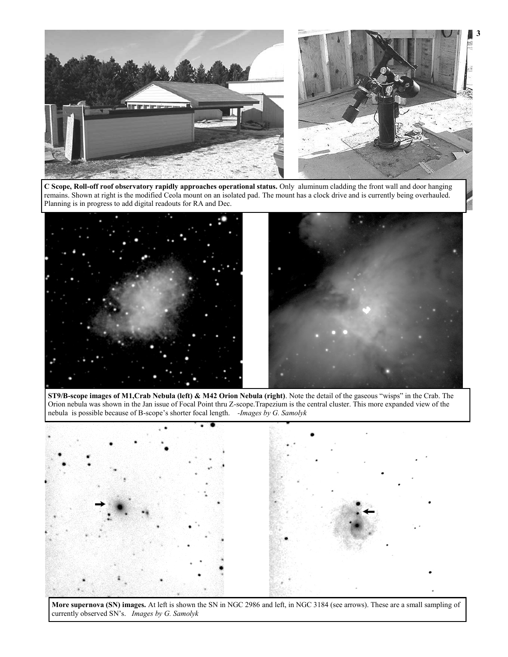

**C Scope, Roll-off roof observatory rapidly approaches operational status.** Only aluminum cladding the front wall and door hanging remains. Shown at right is the modified Ceola mount on an isolated pad. The mount has a clock drive and is currently being overhauled. Planning is in progress to add digital readouts for RA and Dec.



**ST9/B-scope images of M1,Crab Nebula (left) & M42 Orion Nebula (right)**. Note the detail of the gaseous "wisps" in the Crab. The Orion nebula was shown in the Jan issue of Focal Point thru Z-scope.Trapezium is the central cluster. This more expanded view of the nebula is possible because of B-scope's shorter focal length. *-Images by G. Samolyk*



**More supernova (SN) images.** At left is shown the SN in NGC 2986 and left, in NGC 3184 (see arrows). These are a small sampling of currently observed SN's. *Images by G. Samolyk*